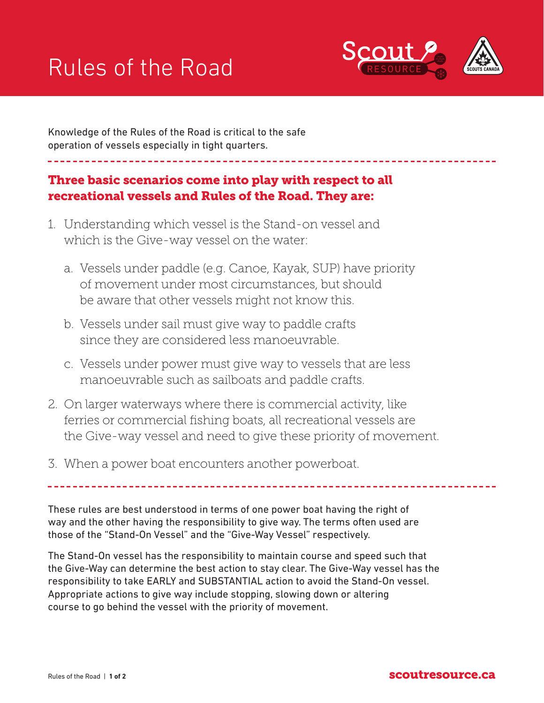## Rules of the Road



Knowledge of the Rules of the Road is critical to the safe operation of vessels especially in tight quarters.

## Three basic scenarios come into play with respect to all recreational vessels and Rules of the Road. They are:

- 1. Understanding which vessel is the Stand-on vessel and which is the Give-way vessel on the water:
	- a. Vessels under paddle (e.g. Canoe, Kayak, SUP) have priority of movement under most circumstances, but should be aware that other vessels might not know this.
	- b. Vessels under sail must give way to paddle crafts since they are considered less manoeuvrable.
	- c. Vessels under power must give way to vessels that are less manoeuvrable such as sailboats and paddle crafts.
- 2. On larger waterways where there is commercial activity, like ferries or commercial fishing boats, all recreational vessels are the Give-way vessel and need to give these priority of movement.
- 3. When a power boat encounters another powerboat.

These rules are best understood in terms of one power boat having the right of way and the other having the responsibility to give way. The terms often used are those of the "Stand-On Vessel" and the "Give-Way Vessel" respectively.

The Stand-On vessel has the responsibility to maintain course and speed such that the Give-Way can determine the best action to stay clear. The Give-Way vessel has the responsibility to take EARLY and SUBSTANTIAL action to avoid the Stand-On vessel. Appropriate actions to give way include stopping, slowing down or altering course to go behind the vessel with the priority of movement.